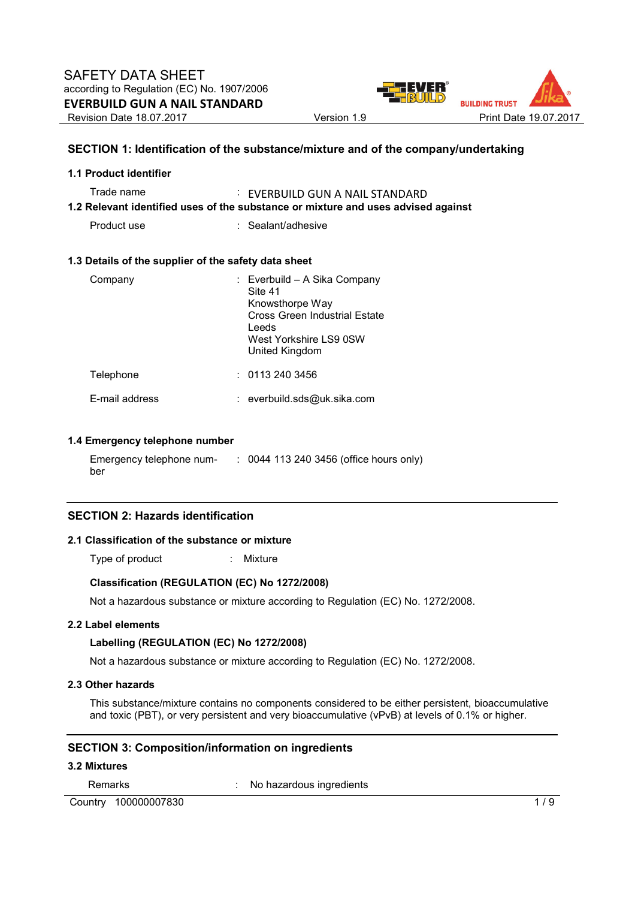

#### **SECTION 1: Identification of the substance/mixture and of the company/undertaking**

| 1.1 Product identifier                                                                                                             |                                                                                                                                                  |  |  |  |  |  |
|------------------------------------------------------------------------------------------------------------------------------------|--------------------------------------------------------------------------------------------------------------------------------------------------|--|--|--|--|--|
| Trade name<br>: EVERBUILD GUN A NAIL STANDARD<br>1.2 Relevant identified uses of the substance or mixture and uses advised against |                                                                                                                                                  |  |  |  |  |  |
| Product use                                                                                                                        | : Sealant/adhesive                                                                                                                               |  |  |  |  |  |
| 1.3 Details of the supplier of the safety data sheet                                                                               |                                                                                                                                                  |  |  |  |  |  |
| Company                                                                                                                            | : Everbuild – A Sika Company<br>Site 41<br>Knowsthorpe Way<br>Cross Green Industrial Estate<br>Leeds<br>West Yorkshire LS9 0SW<br>United Kingdom |  |  |  |  |  |
| Telephone                                                                                                                          | : 01132403456                                                                                                                                    |  |  |  |  |  |
| E-mail address                                                                                                                     | : everbuild.sds@uk.sika.com                                                                                                                      |  |  |  |  |  |
|                                                                                                                                    |                                                                                                                                                  |  |  |  |  |  |

#### **1.4 Emergency telephone number**

Emergency telephone number : 0044 113 240 3456 (office hours only)

#### **SECTION 2: Hazards identification**

#### **2.1 Classification of the substance or mixture**

Type of product : Mixture

#### **Classification (REGULATION (EC) No 1272/2008)**

Not a hazardous substance or mixture according to Regulation (EC) No. 1272/2008.

#### **2.2 Label elements**

#### **Labelling (REGULATION (EC) No 1272/2008)**

Not a hazardous substance or mixture according to Regulation (EC) No. 1272/2008.

#### **2.3 Other hazards**

This substance/mixture contains no components considered to be either persistent, bioaccumulative and toxic (PBT), or very persistent and very bioaccumulative (vPvB) at levels of 0.1% or higher.

#### **SECTION 3: Composition/information on ingredients**

## **3.2 Mixtures**

Remarks : No hazardous ingredients

Country 100000007830 1/9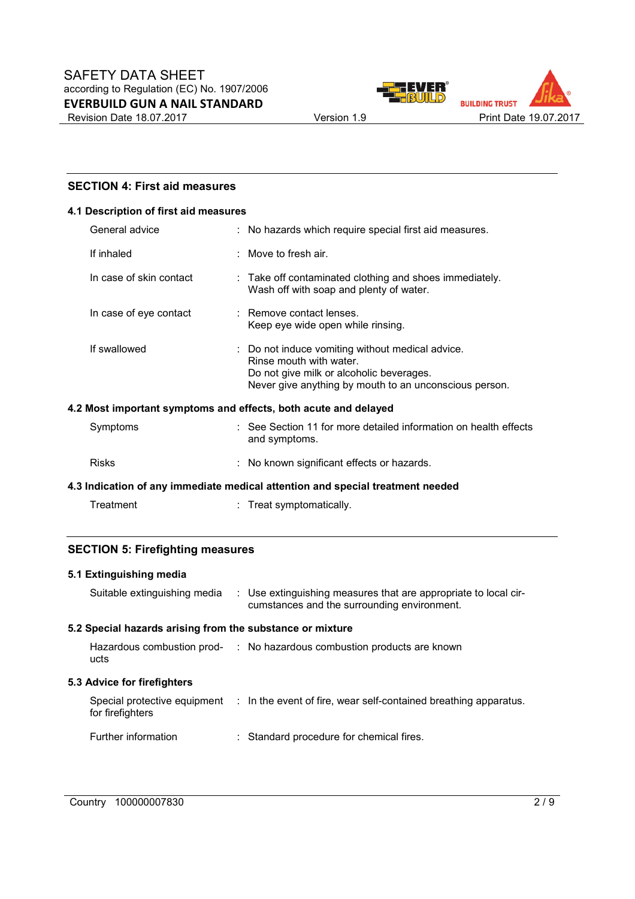



## **SECTION 4: First aid measures**

## **4.1 Description of first aid measures**

| General advice                                                  |  | : No hazards which require special first aid measures.                                                                                                                            |  |  |  |
|-----------------------------------------------------------------|--|-----------------------------------------------------------------------------------------------------------------------------------------------------------------------------------|--|--|--|
| If inhaled                                                      |  | : Move to fresh air.                                                                                                                                                              |  |  |  |
| In case of skin contact                                         |  | : Take off contaminated clothing and shoes immediately.<br>Wash off with soap and plenty of water.                                                                                |  |  |  |
| In case of eye contact                                          |  | : Remove contact lenses.<br>Keep eye wide open while rinsing.                                                                                                                     |  |  |  |
| If swallowed                                                    |  | : Do not induce vomiting without medical advice.<br>Rinse mouth with water.<br>Do not give milk or alcoholic beverages.<br>Never give anything by mouth to an unconscious person. |  |  |  |
| 4.2 Most important symptoms and effects, both acute and delayed |  |                                                                                                                                                                                   |  |  |  |
| Symptoms                                                        |  | : See Section 11 for more detailed information on health effects<br>and symptoms.                                                                                                 |  |  |  |

| Risks |  | : No known significant effects or hazards. |  |
|-------|--|--------------------------------------------|--|
|-------|--|--------------------------------------------|--|

**4.3 Indication of any immediate medical attention and special treatment needed** 

| Treatment | Treat symptomatically. |
|-----------|------------------------|
|-----------|------------------------|

## **SECTION 5: Firefighting measures**

#### **5.1 Extinguishing media**

| Suitable extinguishing media                              |  | : Use extinguishing measures that are appropriate to local cir-<br>cumstances and the surrounding environment. |  |  |  |
|-----------------------------------------------------------|--|----------------------------------------------------------------------------------------------------------------|--|--|--|
| 5.2 Special hazards arising from the substance or mixture |  |                                                                                                                |  |  |  |
| ucts                                                      |  | Hazardous combustion prod- : No hazardous combustion products are known                                        |  |  |  |
|                                                           |  |                                                                                                                |  |  |  |
| 5.3 Advice for firefighters                               |  |                                                                                                                |  |  |  |
| for firefighters                                          |  | Special protective equipment : In the event of fire, wear self-contained breathing apparatus.                  |  |  |  |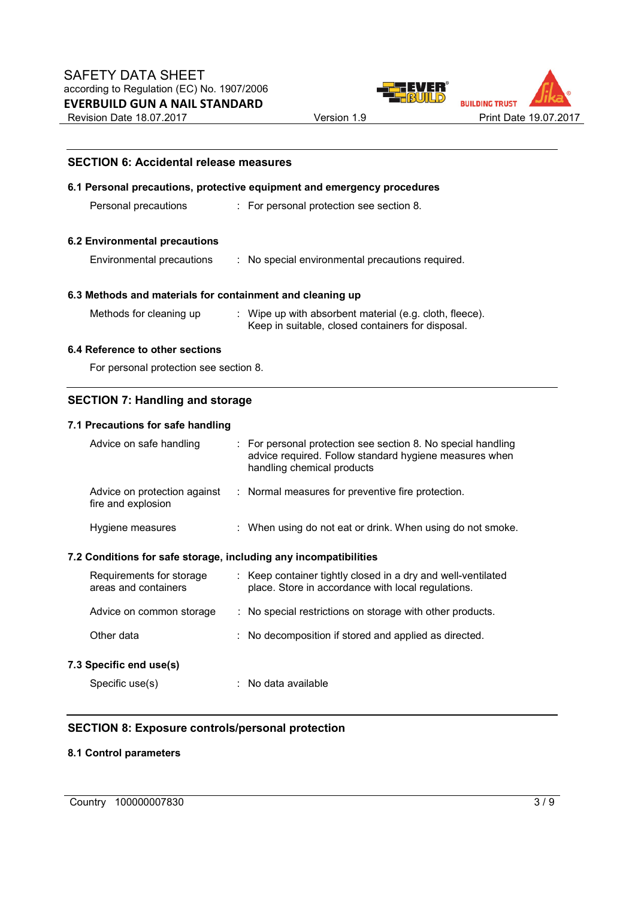**SECTION 6: Accidental release measures** 





# **6.1 Personal precautions, protective equipment and emergency procedures**  Personal precautions : For personal protection see section 8. **6.2 Environmental precautions**  Environmental precautions : No special environmental precautions required. **6.3 Methods and materials for containment and cleaning up**  Methods for cleaning up : Wipe up with absorbent material (e.g. cloth, fleece). Keep in suitable, closed containers for disposal. **6.4 Reference to other sections**  For personal protection see section 8.

## **SECTION 7: Handling and storage**

## **7.1 Precautions for safe handling**

| Advice on safe handling                                          |  | $\therefore$ For personal protection see section 8. No special handling<br>advice required. Follow standard hygiene measures when<br>handling chemical products |  |  |
|------------------------------------------------------------------|--|-----------------------------------------------------------------------------------------------------------------------------------------------------------------|--|--|
| Advice on protection against<br>fire and explosion               |  | : Normal measures for preventive fire protection.                                                                                                               |  |  |
| Hygiene measures                                                 |  | : When using do not eat or drink. When using do not smoke.                                                                                                      |  |  |
| 7.2 Conditions for safe storage, including any incompatibilities |  |                                                                                                                                                                 |  |  |
| Requirements for storage<br>areas and containers                 |  | : Keep container tightly closed in a dry and well-ventilated<br>place. Store in accordance with local regulations.                                              |  |  |
| Advice on common storage                                         |  | : No special restrictions on storage with other products.                                                                                                       |  |  |
| Other data                                                       |  | : No decomposition if stored and applied as directed.                                                                                                           |  |  |
|                                                                  |  |                                                                                                                                                                 |  |  |

#### **7.3 Specific end use(s)**

Specific use(s)  $\qquad \qquad$ : No data available

## **SECTION 8: Exposure controls/personal protection**

## **8.1 Control parameters**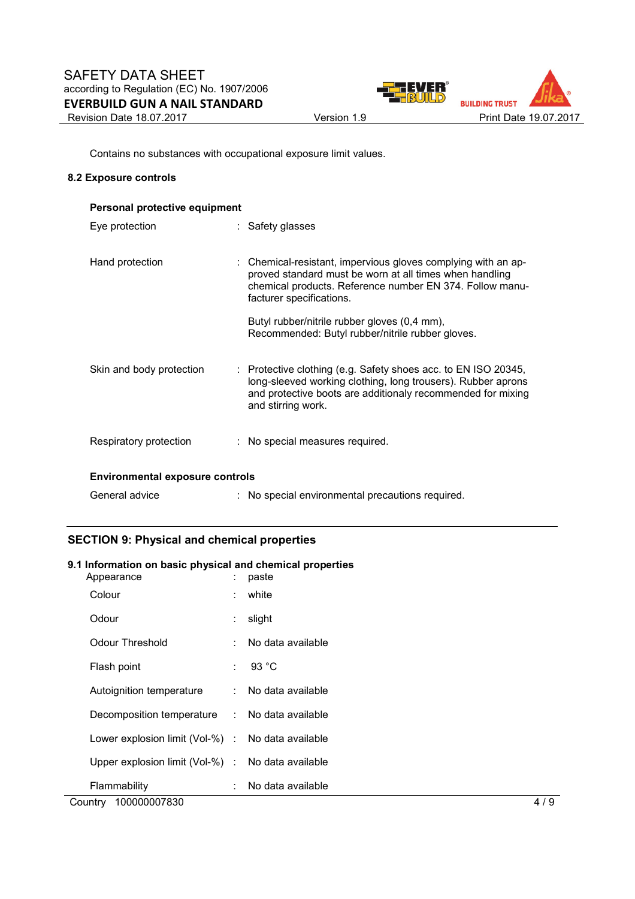

Contains no substances with occupational exposure limit values.

#### **8.2 Exposure controls**

| Personal protective equipment          |                                                                                                                                                                                                                     |  |  |  |  |  |
|----------------------------------------|---------------------------------------------------------------------------------------------------------------------------------------------------------------------------------------------------------------------|--|--|--|--|--|
| Eye protection                         | : Safety glasses                                                                                                                                                                                                    |  |  |  |  |  |
| Hand protection                        | : Chemical-resistant, impervious gloves complying with an ap-<br>proved standard must be worn at all times when handling<br>chemical products. Reference number EN 374. Follow manu-<br>facturer specifications.    |  |  |  |  |  |
|                                        | Butyl rubber/nitrile rubber gloves (0,4 mm),<br>Recommended: Butyl rubber/nitrile rubber gloves.                                                                                                                    |  |  |  |  |  |
| Skin and body protection               | : Protective clothing (e.g. Safety shoes acc. to EN ISO 20345,<br>long-sleeved working clothing, long trousers). Rubber aprons<br>and protective boots are additionaly recommended for mixing<br>and stirring work. |  |  |  |  |  |
| Respiratory protection                 | : No special measures required.                                                                                                                                                                                     |  |  |  |  |  |
| <b>Environmental exposure controls</b> |                                                                                                                                                                                                                     |  |  |  |  |  |
| General advice                         | : No special environmental precautions required.                                                                                                                                                                    |  |  |  |  |  |

## **SECTION 9: Physical and chemical properties**

#### **9.1 Information on basic physical and chemical properties**

| Appearance                                        | ÷  | paste             |     |
|---------------------------------------------------|----|-------------------|-----|
| Colour                                            | ÷. | white             |     |
| Odour                                             | ÷. | slight            |     |
| <b>Odour Threshold</b>                            | ÷  | No data available |     |
| Flash point                                       |    | : 93 °C           |     |
| Autoignition temperature                          | ÷. | No data available |     |
| Decomposition temperature :                       |    | No data available |     |
| Lower explosion limit (Vol-%) : No data available |    |                   |     |
| Upper explosion limit (Vol-%) :                   |    | No data available |     |
| Flammability                                      | ÷  | No data available |     |
| 100000007830<br>Country                           |    |                   | 4/9 |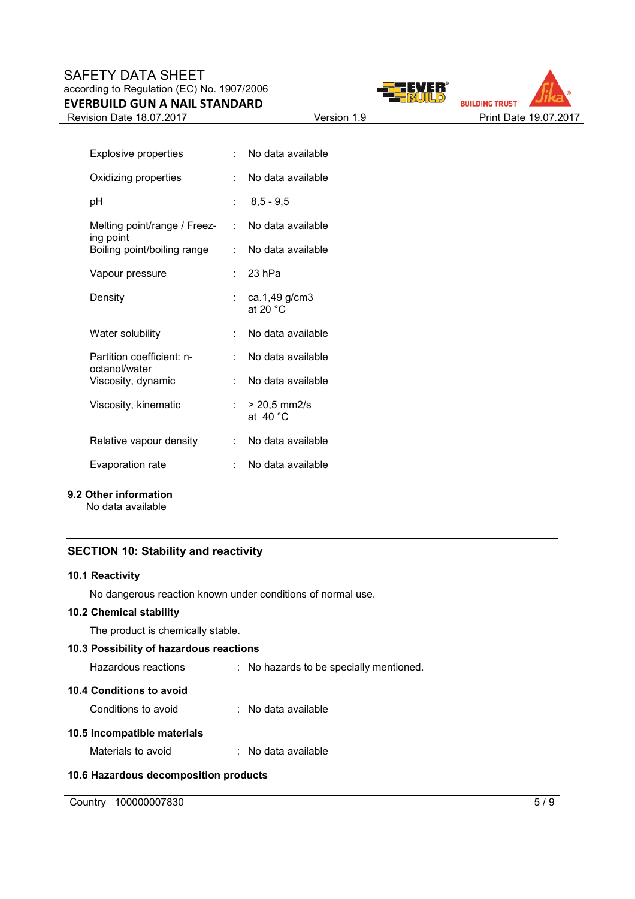## SAFETY DATA SHEET according to Regulation (EC) No. 1907/2006 **EVERBUILD GUN A NAIL STANDARD**

Revision Date 18.07.2017 Version 1.9 Version 1.9 Print Date 19.07.2017





| <b>Explosive properties</b>                |                           | No data available                       |
|--------------------------------------------|---------------------------|-----------------------------------------|
| Oxidizing properties                       | t.                        | No data available                       |
| рH                                         |                           | $8,5 - 9,5$                             |
| Melting point/range / Freez-<br>ing point  | t.                        | No data available                       |
| Boiling point/boiling range                | $\mathbb{R}^{\mathbb{Z}}$ | No data available                       |
| Vapour pressure                            |                           | $23$ hPa                                |
| Density                                    |                           | : $ca.1,49$ g/cm3<br>at 20 $^{\circ}$ C |
| Water solubility                           |                           | No data available                       |
| Partition coefficient: n-<br>octanol/water |                           | No data available                       |
| Viscosity, dynamic                         |                           | No data available                       |
| Viscosity, kinematic                       |                           | : $> 20.5$ mm2/s<br>at $40^{\circ}$ C   |
| Relative vapour density                    | t.                        | No data available                       |
| Evaporation rate                           |                           | No data available                       |

#### **9.2 Other information**

No data available

## **SECTION 10: Stability and reactivity**

#### **10.1 Reactivity**

No dangerous reaction known under conditions of normal use.

#### **10.2 Chemical stability**

The product is chemically stable.

## **10.3 Possibility of hazardous reactions**

| Hazardous reactions | No hazards to be specially mentioned. |
|---------------------|---------------------------------------|
|---------------------|---------------------------------------|

## **10.4 Conditions to avoid**

Conditions to avoid : No data available

## **10.5 Incompatible materials**

Materials to avoid : No data available

## **10.6 Hazardous decomposition products**

Country 100000007830 5/9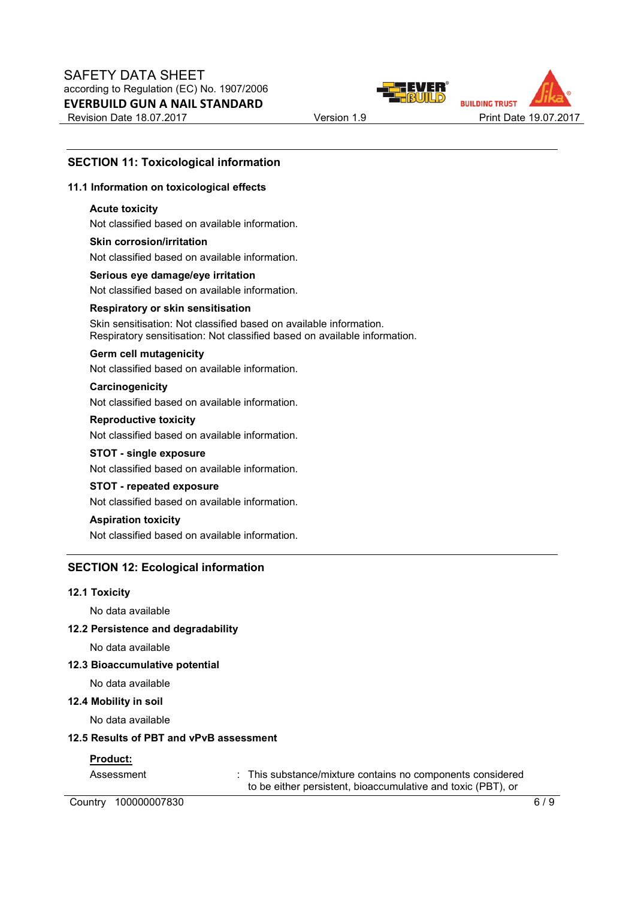



## **SECTION 11: Toxicological information**

#### **11.1 Information on toxicological effects**

#### **Acute toxicity**

Not classified based on available information.

#### **Skin corrosion/irritation** Not classified based on available information.

**Serious eye damage/eye irritation** Not classified based on available information.

#### **Respiratory or skin sensitisation**

Skin sensitisation: Not classified based on available information. Respiratory sensitisation: Not classified based on available information.

#### **Germ cell mutagenicity**

Not classified based on available information.

#### **Carcinogenicity**

Not classified based on available information.

#### **Reproductive toxicity**

Not classified based on available information.

#### **STOT - single exposure**

Not classified based on available information.

## **STOT - repeated exposure**

Not classified based on available information.

#### **Aspiration toxicity**

Not classified based on available information.

#### **SECTION 12: Ecological information**

#### **12.1 Toxicity**

No data available

**12.2 Persistence and degradability** 

No data available

#### **12.3 Bioaccumulative potential**

No data available

#### **12.4 Mobility in soil**

No data available

#### **12.5 Results of PBT and vPvB assessment**

#### **Product:**

Assessment : This substance/mixture contains no components considered to be either persistent, bioaccumulative and toxic (PBT), or

Country 100000007830 6/9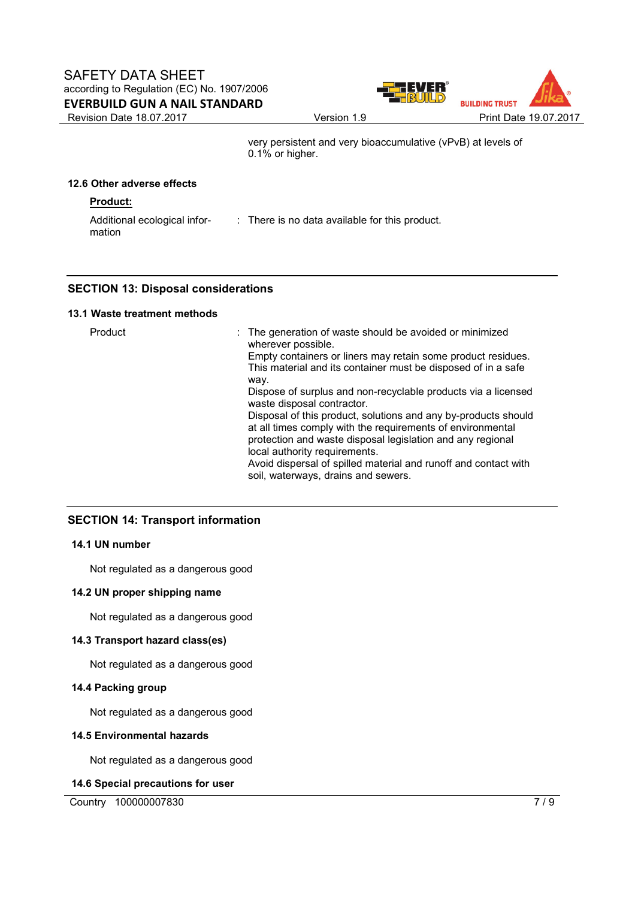

very persistent and very bioaccumulative (vPvB) at levels of 0.1% or higher.

## **12.6 Other adverse effects**

## **Product:**

Additional ecological information : There is no data available for this product.

## **SECTION 13: Disposal considerations**

## **13.1 Waste treatment methods**

| 9. I WASLG LIGALINGIIL INGLINUS |                                                                                                                                                                                                                                                                                                                                                                                                                                                                                                                                                                                                                                                                 |
|---------------------------------|-----------------------------------------------------------------------------------------------------------------------------------------------------------------------------------------------------------------------------------------------------------------------------------------------------------------------------------------------------------------------------------------------------------------------------------------------------------------------------------------------------------------------------------------------------------------------------------------------------------------------------------------------------------------|
| Product                         | : The generation of waste should be avoided or minimized<br>wherever possible.<br>Empty containers or liners may retain some product residues.<br>This material and its container must be disposed of in a safe<br>way.<br>Dispose of surplus and non-recyclable products via a licensed<br>waste disposal contractor.<br>Disposal of this product, solutions and any by-products should<br>at all times comply with the requirements of environmental<br>protection and waste disposal legislation and any regional<br>local authority requirements.<br>Avoid dispersal of spilled material and runoff and contact with<br>soil, waterways, drains and sewers. |

## **SECTION 14: Transport information**

#### **14.1 UN number**

Not regulated as a dangerous good

#### **14.2 UN proper shipping name**

Not regulated as a dangerous good

## **14.3 Transport hazard class(es)**

Not regulated as a dangerous good

## **14.4 Packing group**

Not regulated as a dangerous good

#### **14.5 Environmental hazards**

Not regulated as a dangerous good

#### **14.6 Special precautions for user**

Country 100000007830 7/9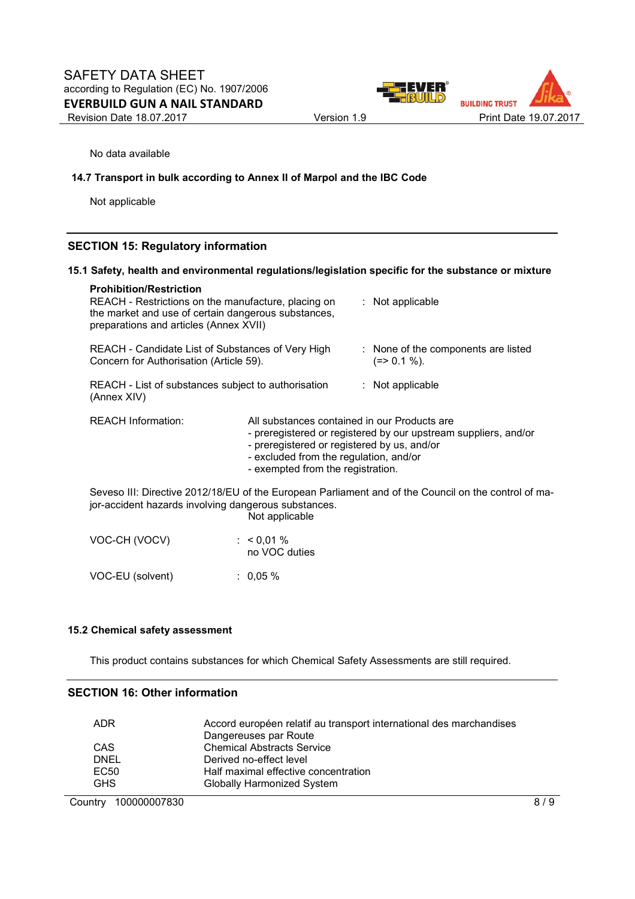

No data available

#### **14.7 Transport in bulk according to Annex II of Marpol and the IBC Code**

Not applicable

## **SECTION 15: Regulatory information**

#### **15.1 Safety, health and environmental regulations/legislation specific for the substance or mixture**

| <b>Prohibition/Restriction</b><br>REACH - Restrictions on the manufacture, placing on<br>the market and use of certain dangerous substances,<br>preparations and articles (Annex XVII)                  |                               | : Not applicable |                                                                 |  |
|---------------------------------------------------------------------------------------------------------------------------------------------------------------------------------------------------------|-------------------------------|------------------|-----------------------------------------------------------------|--|
| REACH - Candidate List of Substances of Very High<br>Concern for Authorisation (Article 59).                                                                                                            |                               |                  | : None of the components are listed<br>$(=>0.1\%).$             |  |
| REACH - List of substances subject to authorisation<br>(Annex XIV)                                                                                                                                      |                               |                  | $:$ Not applicable                                              |  |
| <b>REACH Information:</b><br>All substances contained in our Products are<br>- preregistered or registered by us, and/or<br>- excluded from the regulation, and/or<br>- exempted from the registration. |                               |                  | - preregistered or registered by our upstream suppliers, and/or |  |
| Seveso III: Directive 2012/18/EU of the European Parliament and of the Council on the control of ma-<br>jor-accident hazards involving dangerous substances.<br>Not applicable                          |                               |                  |                                                                 |  |
| VOC-CH (VOCV)                                                                                                                                                                                           | : $< 0.01 %$<br>no VOC duties |                  |                                                                 |  |
| VOC-EU (solvent)                                                                                                                                                                                        | $: 0.05 \%$                   |                  |                                                                 |  |

#### **15.2 Chemical safety assessment**

This product contains substances for which Chemical Safety Assessments are still required.

#### **SECTION 16: Other information**

| Accord européen relatif au transport international des marchandises |
|---------------------------------------------------------------------|
| Dangereuses par Route                                               |
| <b>Chemical Abstracts Service</b>                                   |
| Derived no-effect level                                             |
| Half maximal effective concentration                                |
| <b>Globally Harmonized System</b>                                   |
|                                                                     |

Country 100000007830 8/9